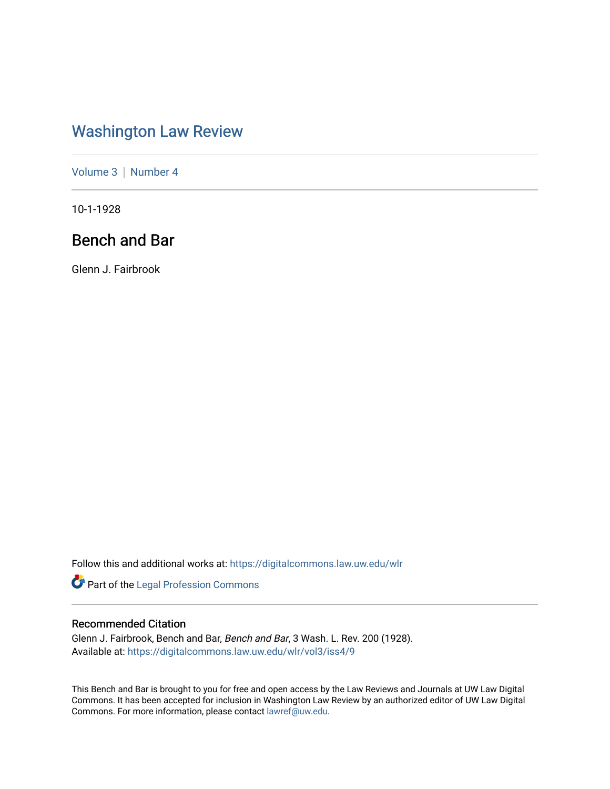# [Washington Law Review](https://digitalcommons.law.uw.edu/wlr)

[Volume 3](https://digitalcommons.law.uw.edu/wlr/vol3) | [Number 4](https://digitalcommons.law.uw.edu/wlr/vol3/iss4)

10-1-1928

## Bench and Bar

Glenn J. Fairbrook

Follow this and additional works at: [https://digitalcommons.law.uw.edu/wlr](https://digitalcommons.law.uw.edu/wlr?utm_source=digitalcommons.law.uw.edu%2Fwlr%2Fvol3%2Fiss4%2F9&utm_medium=PDF&utm_campaign=PDFCoverPages)

Part of the [Legal Profession Commons](http://network.bepress.com/hgg/discipline/1075?utm_source=digitalcommons.law.uw.edu%2Fwlr%2Fvol3%2Fiss4%2F9&utm_medium=PDF&utm_campaign=PDFCoverPages)

## Recommended Citation

Glenn J. Fairbrook, Bench and Bar, Bench and Bar, 3 Wash. L. Rev. 200 (1928). Available at: [https://digitalcommons.law.uw.edu/wlr/vol3/iss4/9](https://digitalcommons.law.uw.edu/wlr/vol3/iss4/9?utm_source=digitalcommons.law.uw.edu%2Fwlr%2Fvol3%2Fiss4%2F9&utm_medium=PDF&utm_campaign=PDFCoverPages)

This Bench and Bar is brought to you for free and open access by the Law Reviews and Journals at UW Law Digital Commons. It has been accepted for inclusion in Washington Law Review by an authorized editor of UW Law Digital Commons. For more information, please contact [lawref@uw.edu](mailto:lawref@uw.edu).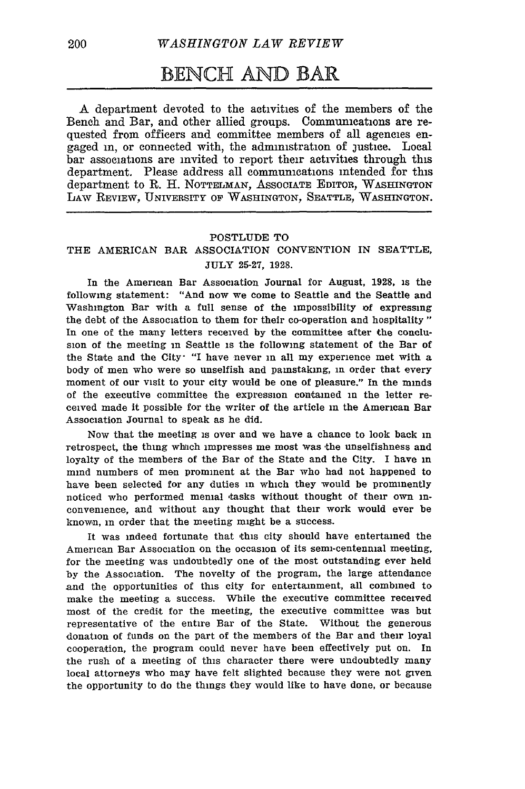## **BENCH AND** BAR

A department devoted to the activities of the members of the Bench and Bar, and other allied groups. Communications are requested from officers and committee members of all agencies engaged in, or connected with, the administration of justice. Local bar associations are invited to report their activities through this department. Please address all communications intended for this department to R. H. NOTTELMAN, ASSOOIATE EDITOR, WASHINGTON LAw REVIEW, UNIVERSITY OF WASHINGTON, **SEATTLE, WASHINGTON.**

#### POSTLUDE TO

#### THE AMERICAN BAR ASSOCIATION CONVENTION IN SEATTLE, JULY 25-27, 1928.

In the American Bar Association Journal for August, 1928, is the following statement: "And now we come to Seattle and the Seattle and Washington Bar with a full sense of the impossibility of expressing the debt of the Association to them for their co-operation and hospitality" In one of the many letters received by the committee after the conclusion of the meeting in Seattle is the following statement of the Bar of the State and the City- "I have never in all my experience met with a body of men who were so unselfish and painstaking, in order that every moment of our visit to your city would be one of pleasure." In the minds of the executive committee the expression contained in the letter received made it possible for the writer of the article in the American Bar Association Journal to speak as he did.

Now that the meeting is over and we have a chance to look back in retrospect, the thing which impresses me most was the unselfishness and loyalty of the members of the Bar of the State and the City. I have in mind numbers of men prominent at the Bar who had not happened to have been selected for any duties in which they would be prominently noticed who performed menial tasks without thought of their own inconvenience, and without any thought that their work would ever be known, in order that the meeting might be a success.

It was indeed fortunate that this city should have entertained the American Bar Association on the occasion of its semi-centennial meeting, for the meeting was undoubtedly one of the most outstanding ever held by the Association. The novelty of the program, the large attendance and the opportunities of this city for entertainment, all combined to make the meeting a success. While the executive committee received most of the credit for the meeting, the executive committee was but representative of the entire Bar of the State. Without the generous donation of funds on the part of the members of the Bar and their loyal cooperation, the program could never have been effectively put on. In the rush of a meeting of this character there were undoubtedly many local attorneys who may have felt slighted because they were not given the opportunity to do the things they would like to have done, or because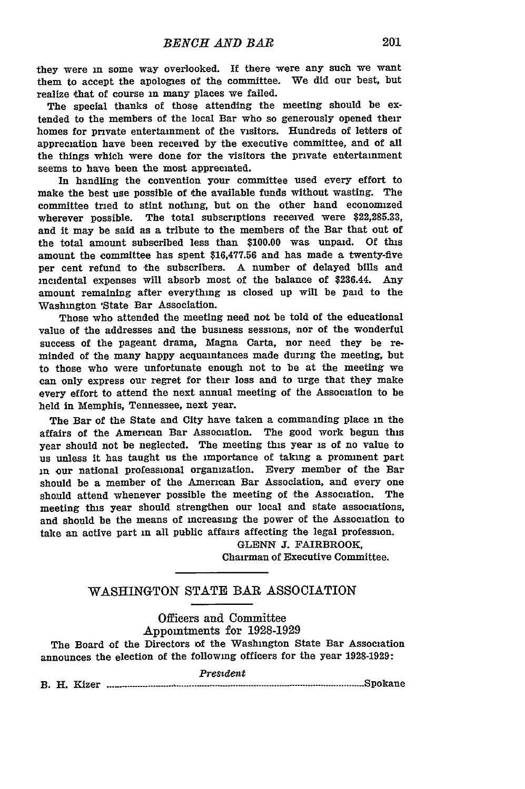they were m some way overlooked. **If** there were any such we want them to accept the apologies of the committee. We did our best, but realize that of course in many places we failed.

The special thanks of those attending the meeting should be extended to the members of the local Bar who so generously opened their homes for private entertainment of the visitors. Hundreds of letters of appreciation have been received **by** the executive committee, and of all the things which were done for the visitors the private entertainment seems to have been the most appreciated.

In handling the convention your committee used every effort to make the best use possible of the available funds without wasting. The committee tried to stint nothing, but on the other hand economized wherever possible. The total subscriptions received were **\$22,285.33,** and it may be said as a tribute to the members of the Bar that out of the total amount subscribed less than **\$100.00** was unpaid. **Of this** amount the committee has spent **\$16,477.56** and has made a twenty-five per cent refund to the subscribers. A number of delayed bills and incidental expenses will absorb most of the balance of \$236.44. **Any** amount remaining after everything is closed up will be paid to the Washington 'State Bar Association.

Those who attended the meeting need not be told of the educational value of the addresses and the business sessions, nor of the wonderful success of the pageant drama, Magna Carta, nor need they be reminded of the many happy acquaintances made during the meeting, but to those who were unfortunate enough not to be at the meeting we can only express our regret for their loss and to urge that they make every effort to attend the next annual meeting of the Association to be held in Memphis, Tennessee, next year.

The Bar of the State and City have taken a commanding place in the affairs of the American Bar Association. The good work begun this year should not be neglected. The meeting this year is of no value to us unless it has taught us the importance of taking a prominent part in our national professional organization. Every member of the Bar should be a member of the American Bar Association, and every one should attend whenever possible the meeting of the Association. The meeting this year should strengthen our local and state associations, and should be the means of increasing the power of the Association to take an active part in all public affairs affecting the legal profession.

> **GLENN J.** FAIRBROOK, Chairman of Executive Committee.

#### WASHINGTON **STATE** BAR ASSOCIATION

#### Officers and Committee Appointments for 1928-1929

The Board of the Directors of the Washington State Bar Association announces the election of the following officers for the year 1928-1929:

|       |       | Presīdeni<br>______ |
|-------|-------|---------------------|
| B. H. | Kizer |                     |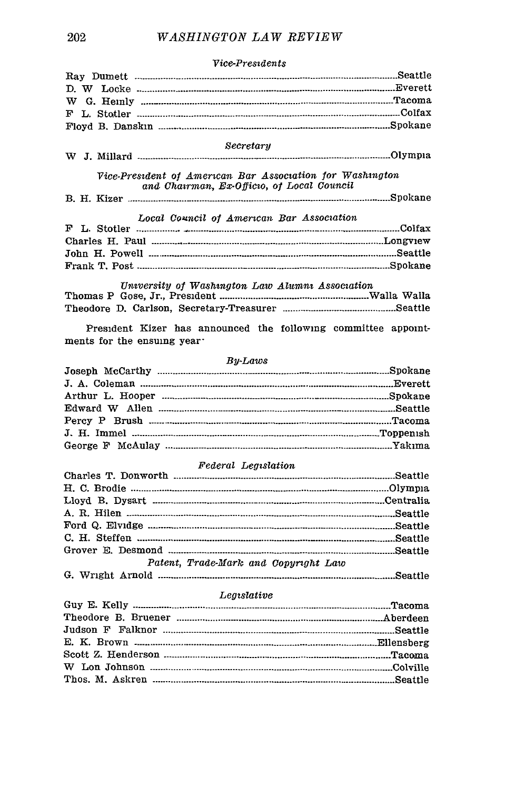### Secretary Vice-President of American Bar Association for Washington and Chairman, Ex-Officio, of Local Council Local Council of American Bar Association University of Washington Law Alumni Association President Kizer has announced the following committee appointments for the ensuing year. **Bu-Laws**  $\mathbf{r}$  ,  $\mathbf{r}$  ,  $\mathbf{r}$  ,  $\mathbf{r}$

#### Vice-Presidents

#### Federal Legislation

| Patent, Trade-Mark and Copyright Law                                                                                                                                        |  |
|-----------------------------------------------------------------------------------------------------------------------------------------------------------------------------|--|
| $\alpha$ $\pi r$ <sub>mob</sub> $\alpha$ $\beta$ $\beta$<br>the contract of the contract of the contract of the contract of the contract of the contract of the contract of |  |

#### 

#### Legislative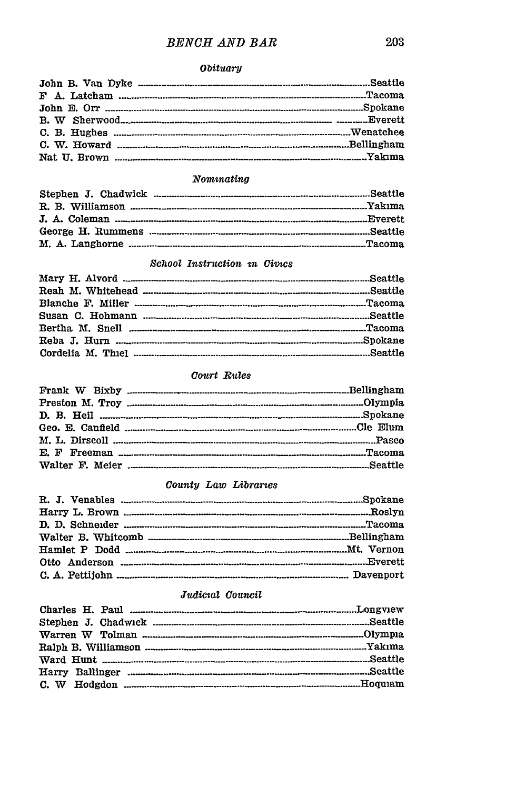### **BENCH AND BAR**

#### **Obituary**

#### $\bm{N}$ omunating

#### School Instruction in Civics

#### Court Rules

#### County Law Libraries

#### Judicial Council